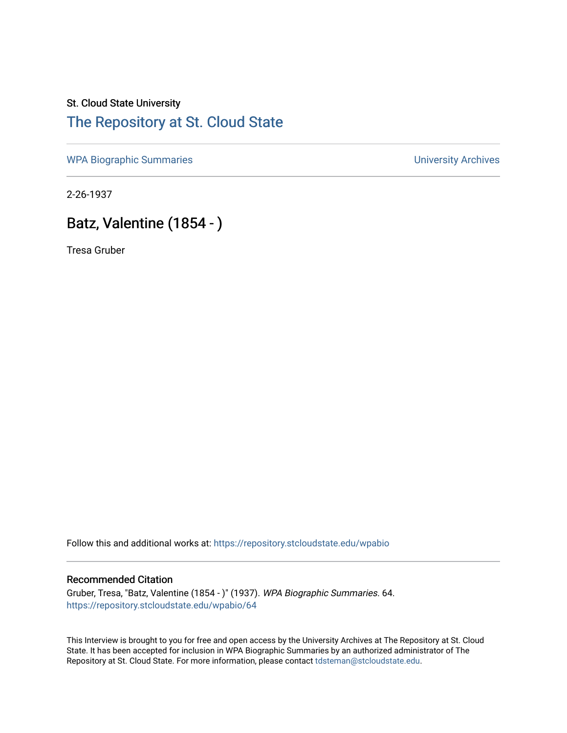## St. Cloud State University [The Repository at St. Cloud State](https://repository.stcloudstate.edu/)

[WPA Biographic Summaries](https://repository.stcloudstate.edu/wpabio) **WPA Biographic Summaries University Archives** 

2-26-1937

# Batz, Valentine (1854 - )

Tresa Gruber

Follow this and additional works at: [https://repository.stcloudstate.edu/wpabio](https://repository.stcloudstate.edu/wpabio?utm_source=repository.stcloudstate.edu%2Fwpabio%2F64&utm_medium=PDF&utm_campaign=PDFCoverPages) 

#### Recommended Citation

Gruber, Tresa, "Batz, Valentine (1854 - )" (1937). WPA Biographic Summaries. 64. [https://repository.stcloudstate.edu/wpabio/64](https://repository.stcloudstate.edu/wpabio/64?utm_source=repository.stcloudstate.edu%2Fwpabio%2F64&utm_medium=PDF&utm_campaign=PDFCoverPages)

This Interview is brought to you for free and open access by the University Archives at The Repository at St. Cloud State. It has been accepted for inclusion in WPA Biographic Summaries by an authorized administrator of The Repository at St. Cloud State. For more information, please contact [tdsteman@stcloudstate.edu.](mailto:tdsteman@stcloudstate.edu)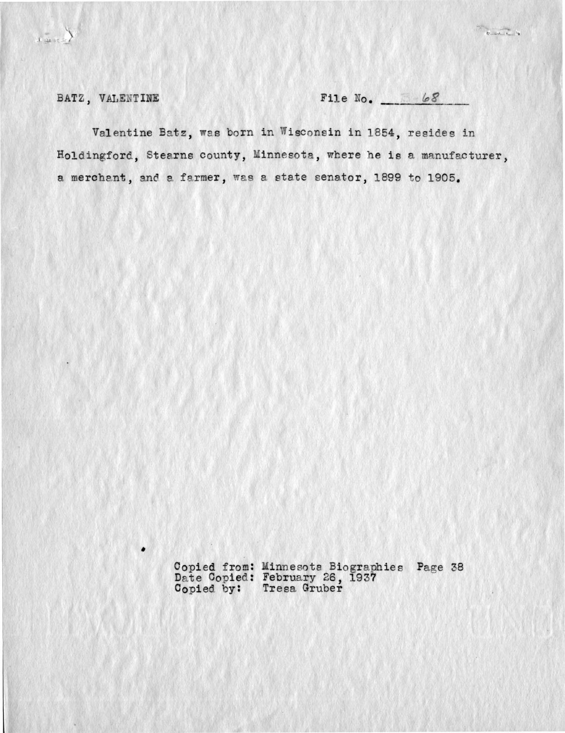$\begin{picture}(120,10) \put(0,0){\line(1,0){10}} \put(15,0){\line(1,0){10}} \put(15,0){\line(1,0){10}} \put(15,0){\line(1,0){10}} \put(15,0){\line(1,0){10}} \put(15,0){\line(1,0){10}} \put(15,0){\line(1,0){10}} \put(15,0){\line(1,0){10}} \put(15,0){\line(1,0){10}} \put(15,0){\line(1,0){10}} \put(15,0){\line(1,0){10}} \put(15,0){\line($ 

 $\begin{picture}(130,10) \put(0,0){\line(1,0){10}} \put(15,0){\line(1,0){10}} \put(15,0){\line(1,0){10}} \put(15,0){\line(1,0){10}} \put(15,0){\line(1,0){10}} \put(15,0){\line(1,0){10}} \put(15,0){\line(1,0){10}} \put(15,0){\line(1,0){10}} \put(15,0){\line(1,0){10}} \put(15,0){\line(1,0){10}} \put(15,0){\line(1,0){10}} \put(15,0){\line($ 

BATZ, VALENTINE

٠

File  $No.$  68

Valentine Batz, was born in Wisconsin in 1854, resides in Holdingford, Stearns county, Minnesota, where he is a manufacturer, a merchant, and a farmer, was a state senator, 1899 to 1905.

Copied from: Minnesota Biographies Page 38<br>Date Copied: February 26, 1937<br>Copied by: Tresa Gruber